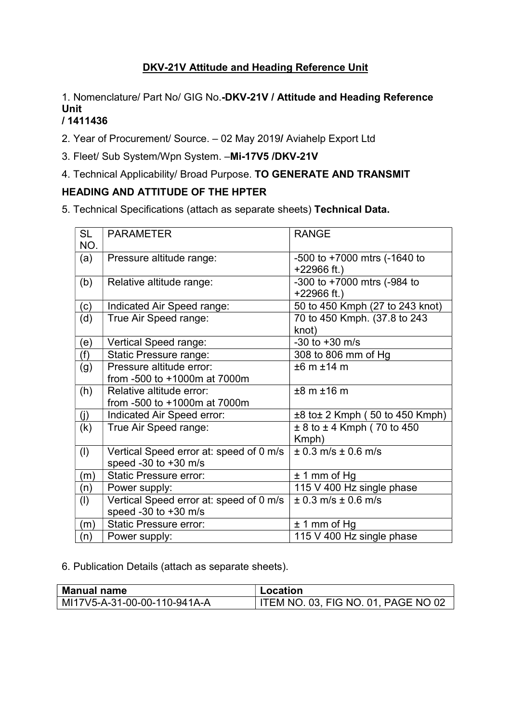# DKV-21V Attitude and Heading Reference Unit

1. Nomenclature/ Part No/ GIG No.-DKV-21V / Attitude and Heading Reference Unit

## / 1411436

2. Year of Procurement/ Source. – 02 May 2019/ Aviahelp Export Ltd

- 3. Fleet/ Sub System/Wpn System. –Mi-17V5 /DKV-21V
- 4. Technical Applicability/ Broad Purpose. TO GENERATE AND TRANSMIT

# HEADING AND ATTITUDE OF THE HPTER

5. Technical Specifications (attach as separate sheets) Technical Data.

| <b>SL</b> | <b>PARAMETER</b>                        | <b>RANGE</b>                        |
|-----------|-----------------------------------------|-------------------------------------|
| NO.       |                                         |                                     |
| (a)       | Pressure altitude range:                | $-500$ to $+7000$ mtrs ( $-1640$ to |
|           |                                         | $+22966$ ft.)                       |
| (b)       | Relative altitude range:                | -300 to +7000 mtrs $(-984)$ to      |
|           |                                         | $+22966$ ft.)                       |
| (c)       | Indicated Air Speed range:              | 50 to 450 Kmph (27 to 243 knot)     |
| (d)       | True Air Speed range:                   | 70 to 450 Kmph. (37.8 to 243        |
|           |                                         | knot)                               |
| (e)       | Vertical Speed range:                   | $-30$ to $+30$ m/s                  |
| (f)       | <b>Static Pressure range:</b>           | 308 to 806 mm of Hg                 |
| (g)       | Pressure altitude error:                | ±6 m ± 14 m                         |
|           | from -500 to +1000m at 7000m            |                                     |
| (h)       | Relative altitude error:                | ±8 m ± 16 m                         |
|           | from -500 to +1000m at 7000m            |                                     |
| (j)       | Indicated Air Speed error:              | $±8$ to $±2$ Kmph (50 to 450 Kmph)  |
| (k)       | True Air Speed range:                   | $± 8$ to $± 4$ Kmph (70 to 450      |
|           |                                         | Kmph)                               |
| (1)       | Vertical Speed error at: speed of 0 m/s | $± 0.3$ m/s $± 0.6$ m/s             |
|           | speed $-30$ to $+30$ m/s                |                                     |
| (m)       | <b>Static Pressure error:</b>           | $± 1$ mm of Hg                      |
| (n)       | Power supply:                           | 115 V 400 Hz single phase           |
| (1)       | Vertical Speed error at: speed of 0 m/s | $± 0.3$ m/s $± 0.6$ m/s             |
|           | speed -30 to $+30$ m/s                  |                                     |
| (m)       | <b>Static Pressure error:</b>           | $± 1$ mm of Hg                      |
| (n)       | Power supply:                           | 115 V 400 Hz single phase           |

6. Publication Details (attach as separate sheets).

| <b>Manual name</b>           | Location                            |
|------------------------------|-------------------------------------|
| MI17V5-A-31-00-00-110-941A-A | ITEM NO. 03, FIG NO. 01, PAGE NO 02 |